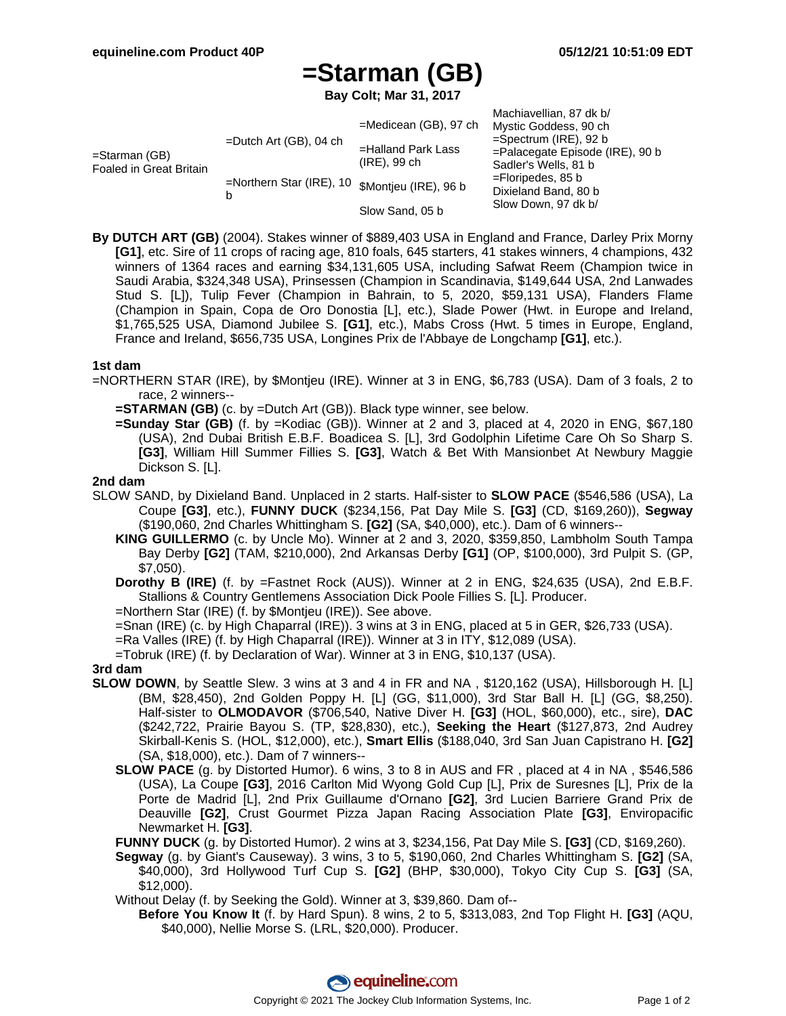# **=Starman (GB)**

**Bay Colt; Mar 31, 2017**

|                                          |                                                     |                                       | Machiavellian, 87 dk b/                                                                                         |
|------------------------------------------|-----------------------------------------------------|---------------------------------------|-----------------------------------------------------------------------------------------------------------------|
| =Starman (GB)<br>Foaled in Great Britain | $=$ Dutch Art (GB), 04 ch                           | $=$ Medicean (GB), 97 ch              | Mystic Goddess, 90 ch<br>$=$ Spectrum (IRE), 92 b<br>$=$ Palacegate Episode (IRE), 90 b<br>Sadler's Wells, 81 b |
|                                          |                                                     | =Halland Park Lass<br>$(IRE)$ , 99 ch |                                                                                                                 |
|                                          |                                                     |                                       |                                                                                                                 |
|                                          | =Northern Star (IRE), 10 \$Montjeu (IRE), 96 b<br>b |                                       |                                                                                                                 |
|                                          |                                                     | Dixieland Band, 80 b                  |                                                                                                                 |
|                                          |                                                     | Slow Sand, 05 b                       | Slow Down, 97 dk b/                                                                                             |

**By DUTCH ART (GB)** (2004). Stakes winner of \$889,403 USA in England and France, Darley Prix Morny **[G1]**, etc. Sire of 11 crops of racing age, 810 foals, 645 starters, 41 stakes winners, 4 champions, 432 winners of 1364 races and earning \$34,131,605 USA, including Safwat Reem (Champion twice in Saudi Arabia, \$324,348 USA), Prinsessen (Champion in Scandinavia, \$149,644 USA, 2nd Lanwades Stud S. [L]), Tulip Fever (Champion in Bahrain, to 5, 2020, \$59,131 USA), Flanders Flame (Champion in Spain, Copa de Oro Donostia [L], etc.), Slade Power (Hwt. in Europe and Ireland, \$1,765,525 USA, Diamond Jubilee S. **[G1]**, etc.), Mabs Cross (Hwt. 5 times in Europe, England, France and Ireland, \$656,735 USA, Longines Prix de l'Abbaye de Longchamp **[G1]**, etc.).

#### **1st dam**

- =NORTHERN STAR (IRE), by \$Montjeu (IRE). Winner at 3 in ENG, \$6,783 (USA). Dam of 3 foals, 2 to race, 2 winners--
	- **=STARMAN (GB)** (c. by =Dutch Art (GB)). Black type winner, see below.
	- **=Sunday Star (GB)** (f. by =Kodiac (GB)). Winner at 2 and 3, placed at 4, 2020 in ENG, \$67,180 (USA), 2nd Dubai British E.B.F. Boadicea S. [L], 3rd Godolphin Lifetime Care Oh So Sharp S. **[G3]**, William Hill Summer Fillies S. **[G3]**, Watch & Bet With Mansionbet At Newbury Maggie Dickson S. [L].

#### **2nd dam**

- SLOW SAND, by Dixieland Band. Unplaced in 2 starts. Half-sister to **SLOW PACE** (\$546,586 (USA), La Coupe **[G3]**, etc.), **FUNNY DUCK** (\$234,156, Pat Day Mile S. **[G3]** (CD, \$169,260)), **Segway** (\$190,060, 2nd Charles Whittingham S. **[G2]** (SA, \$40,000), etc.). Dam of 6 winners--
	- **KING GUILLERMO** (c. by Uncle Mo). Winner at 2 and 3, 2020, \$359,850, Lambholm South Tampa Bay Derby **[G2]** (TAM, \$210,000), 2nd Arkansas Derby **[G1]** (OP, \$100,000), 3rd Pulpit S. (GP, \$7,050).

**Dorothy B (IRE)** (f. by =Fastnet Rock (AUS)). Winner at 2 in ENG, \$24,635 (USA), 2nd E.B.F. Stallions & Country Gentlemens Association Dick Poole Fillies S. [L]. Producer.

=Northern Star (IRE) (f. by \$Montjeu (IRE)). See above.

- =Snan (IRE) (c. by High Chaparral (IRE)). 3 wins at 3 in ENG, placed at 5 in GER, \$26,733 (USA).
- =Ra Valles (IRE) (f. by High Chaparral (IRE)). Winner at 3 in ITY, \$12,089 (USA).

=Tobruk (IRE) (f. by Declaration of War). Winner at 3 in ENG, \$10,137 (USA).

#### **3rd dam**

- **SLOW DOWN**, by Seattle Slew. 3 wins at 3 and 4 in FR and NA , \$120,162 (USA), Hillsborough H. [L] (BM, \$28,450), 2nd Golden Poppy H. [L] (GG, \$11,000), 3rd Star Ball H. [L] (GG, \$8,250). Half-sister to **OLMODAVOR** (\$706,540, Native Diver H. **[G3]** (HOL, \$60,000), etc., sire), **DAC** (\$242,722, Prairie Bayou S. (TP, \$28,830), etc.), **Seeking the Heart** (\$127,873, 2nd Audrey Skirball-Kenis S. (HOL, \$12,000), etc.), **Smart Ellis** (\$188,040, 3rd San Juan Capistrano H. **[G2]** (SA, \$18,000), etc.). Dam of 7 winners--
	- **SLOW PACE** (g. by Distorted Humor). 6 wins, 3 to 8 in AUS and FR , placed at 4 in NA , \$546,586 (USA), La Coupe **[G3]**, 2016 Carlton Mid Wyong Gold Cup [L], Prix de Suresnes [L], Prix de la Porte de Madrid [L], 2nd Prix Guillaume d'Ornano **[G2]**, 3rd Lucien Barriere Grand Prix de Deauville **[G2]**, Crust Gourmet Pizza Japan Racing Association Plate **[G3]**, Enviropacific Newmarket H. **[G3]**.

**FUNNY DUCK** (g. by Distorted Humor). 2 wins at 3, \$234,156, Pat Day Mile S. **[G3]** (CD, \$169,260).

**Segway** (g. by Giant's Causeway). 3 wins, 3 to 5, \$190,060, 2nd Charles Whittingham S. **[G2]** (SA, \$40,000), 3rd Hollywood Turf Cup S. **[G2]** (BHP, \$30,000), Tokyo City Cup S. **[G3]** (SA, \$12,000).

Without Delay (f. by Seeking the Gold). Winner at 3, \$39,860. Dam of--

**Before You Know It** (f. by Hard Spun). 8 wins, 2 to 5, \$313,083, 2nd Top Flight H. **[G3]** (AQU, \$40,000), Nellie Morse S. (LRL, \$20,000). Producer.